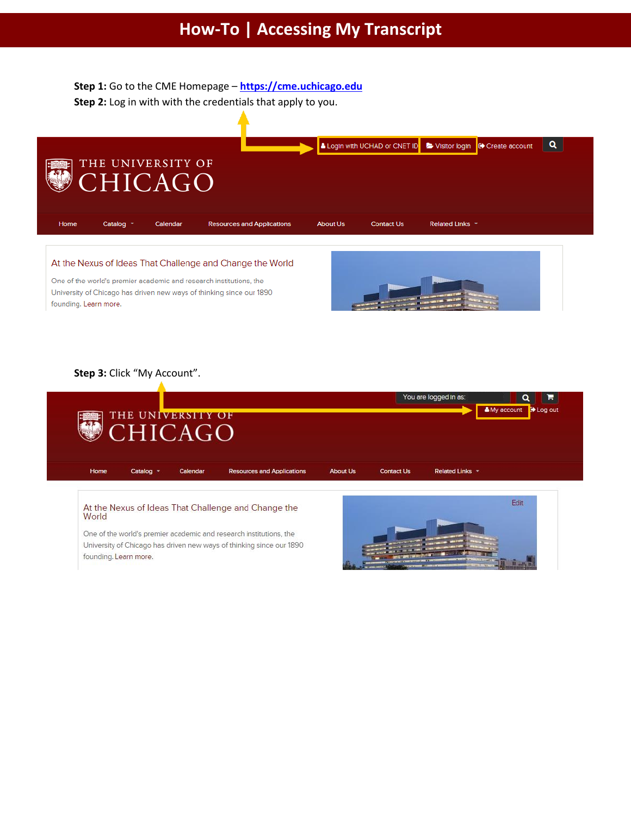**Step 1:** Go to the CME Homepage – **[https://cme.uchicago.edu](https://cme.uchicago.edu/) Step 2:** Log in with with the credentials that apply to you.



At the Nexus of Ideas That Challenge and Change the World

One of the world's premier academic and research institutions, the University of Chicago has driven new ways of thinking since our 1890 founding. Learn more.



## **Step 3:** Click "My Account".



At the Nexus of Ideas That Challenge and Change the World

One of the world's premier academic and research institutions, the University of Chicago has driven new ways of thinking since our 1890 founding. Learn more.

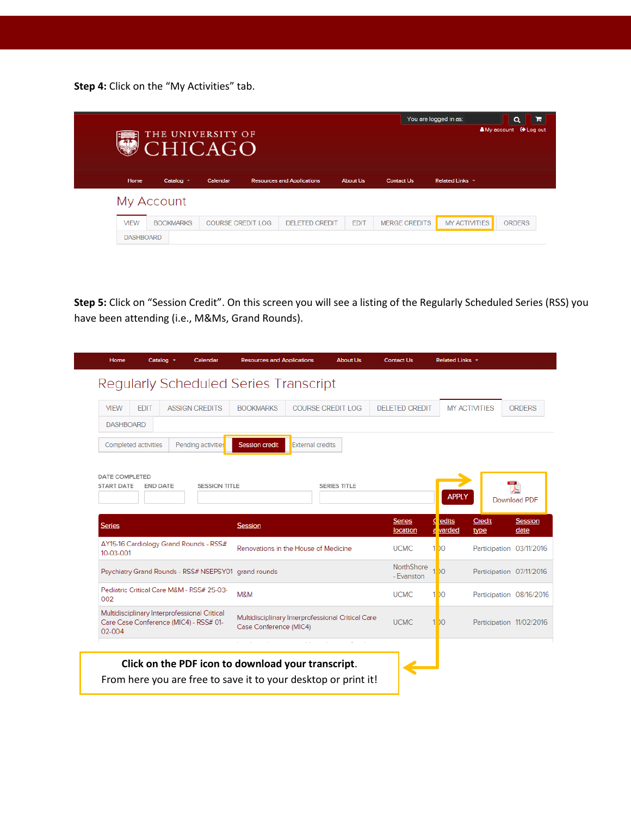**Step 4:** Click on the "My Activities" tab.

|                  | THE UNIVERSITY OF<br><b>CHICAGO</b> | You are logged in as:    |                                   | я<br>$\alpha$<br><b>A</b> My account <b>O</b> Log out |                      |                      |               |
|------------------|-------------------------------------|--------------------------|-----------------------------------|-------------------------------------------------------|----------------------|----------------------|---------------|
| Home             | Catalog *                           | Calendar                 | <b>Resources and Applications</b> | <b>About Us</b>                                       | <b>Contact Us</b>    | Related Links *      |               |
|                  | My Account                          |                          |                                   |                                                       |                      |                      |               |
| <b>MEW</b>       | <b>BOOKMARKS</b>                    | <b>COURSE CREDIT LOG</b> | <b>DELETED CREDIT</b>             | <b>EDIT</b>                                           | <b>MERGE CREDITS</b> | <b>MY ACTIVITIES</b> | <b>ORDERS</b> |
| <b>DASHBOARD</b> |                                     |                          |                                   |                                                       |                      |                      |               |

**Step 5:** Click on "Session Credit". On this screen you will see a listing of the Regularly Scheduled Series (RSS) you have been attending (i.e., M&Ms, Grand Rounds).

| <b>MEW</b><br><b>DASHBOARD</b>                                                                   | <b>EDIT</b>                               |                       | Regularly Scheduled Series Transcript                                       |                          |  |                          |                                     |                          |                                |
|--------------------------------------------------------------------------------------------------|-------------------------------------------|-----------------------|-----------------------------------------------------------------------------|--------------------------|--|--------------------------|-------------------------------------|--------------------------|--------------------------------|
|                                                                                                  |                                           |                       |                                                                             |                          |  |                          |                                     |                          |                                |
|                                                                                                  |                                           | <b>ASSIGN CREDITS</b> | <b>BOOKMARKS</b>                                                            | <b>COURSE CREDIT LOG</b> |  | <b>DELETED CREDIT</b>    |                                     | <b>MY ACTIVITIES</b>     | <b>ORDERS</b>                  |
|                                                                                                  |                                           |                       |                                                                             |                          |  |                          |                                     |                          |                                |
| Completed activities                                                                             |                                           | Pending activities    | <b>Session credit</b>                                                       | <b>External credits</b>  |  |                          |                                     |                          |                                |
|                                                                                                  |                                           |                       | <b>Session</b>                                                              |                          |  | <b>Series</b>            | <b>APPLY</b><br>C <sub>redits</sub> | Credit                   | Download PDF<br><b>Session</b> |
| <b>Series</b>                                                                                    | AY15-16 Cardiology Grand Rounds - RSS#    |                       | Renovations in the House of Medicine                                        |                          |  | location                 | varded<br>a                         | type                     | date                           |
| 10-03-001                                                                                        |                                           |                       |                                                                             |                          |  | <b>UCMC</b>              | 1.00                                | Participation 03/11/2016 |                                |
| Psychiatry Grand Rounds - RSS# NSEPSY01 grand rounds                                             |                                           |                       |                                                                             |                          |  | NorthShore<br>- Evanston | 1.00                                | Participation 07/11/2016 |                                |
| 002                                                                                              | Pediatric Critical Care M&M - RSS# 25-03- |                       | M&M                                                                         |                          |  | <b>UCMC</b>              | 1.00                                | Participation 08/16/2016 |                                |
| Multidisciplinary Interprofessional Critical<br>Care Case Conference (MIC4) - RSS# 01-<br>02-004 |                                           |                       | Multidisciplinary Interprofessional Critical Care<br>Case Conference (MIC4) |                          |  | <b>UCMC</b>              | 1.00                                | Participation 11/02/2016 |                                |
|                                                                                                  |                                           |                       |                                                                             |                          |  |                          |                                     |                          |                                |